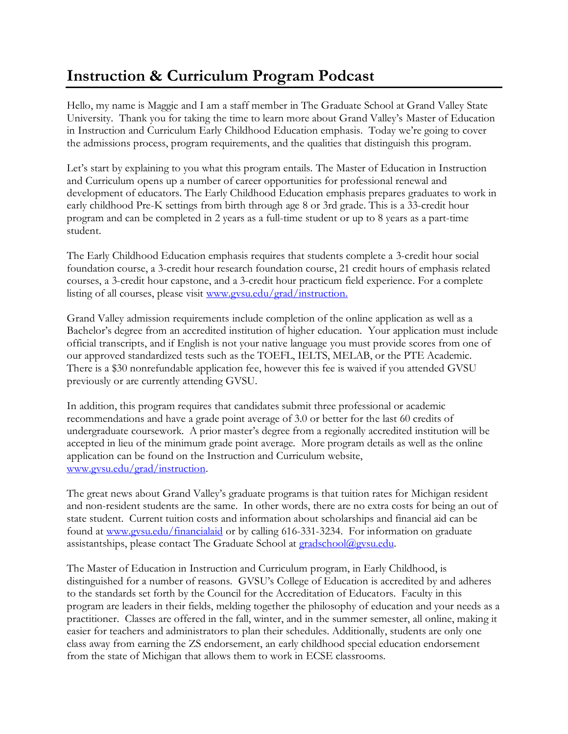## **Instruction & Curriculum Program Podcast**

Hello, my name is Maggie and I am a staff member in The Graduate School at Grand Valley State University. Thank you for taking the time to learn more about Grand Valley's Master of Education in Instruction and Curriculum Early Childhood Education emphasis. Today we're going to cover the admissions process, program requirements, and the qualities that distinguish this program.

Let's start by explaining to you what this program entails. The Master of Education in Instruction and Curriculum opens up a number of career opportunities for professional renewal and development of educators. The Early Childhood Education emphasis prepares graduates to work in early childhood Pre-K settings from birth through age 8 or 3rd grade. This is a 33-credit hour program and can be completed in 2 years as a full-time student or up to 8 years as a part-time student.

The Early Childhood Education emphasis requires that students complete a 3-credit hour social foundation course, a 3-credit hour research foundation course, 21 credit hours of emphasis related courses, a 3-credit hour capstone, and a 3-credit hour practicum field experience. For a complete listing of all courses, please visit [www.gvsu.edu/grad/instruction.](http://www.gvsu.edu/grad/instruction)

Grand Valley admission requirements include completion of the online application as well as a Bachelor's degree from an accredited institution of higher education. Your application must include official transcripts, and if English is not your native language you must provide scores from one of our approved standardized tests such as the TOEFL, IELTS, MELAB, or the PTE Academic. There is a \$30 nonrefundable application fee, however this fee is waived if you attended GVSU previously or are currently attending GVSU.

In addition, this program requires that candidates submit three professional or academic recommendations and have a grade point average of 3.0 or better for the last 60 credits of undergraduate coursework. A prior master's degree from a regionally accredited institution will be accepted in lieu of the minimum grade point average. More program details as well as the online application can be found on the Instruction and Curriculum website, [www.gvsu.edu/grad/instruction.](http://www.gvsu.edu/grad/instruction)

The great news about Grand Valley's graduate programs is that tuition rates for Michigan resident and non-resident students are the same. In other words, there are no extra costs for being an out of state student. Current tuition costs and information about scholarships and financial aid can be found at [www.gvsu.edu/financialaid](http://www.gvsu.edu/financialaid) or by calling 616-331-3234. For information on graduate assistantships, please contact The Graduate School at **gradschool@gvsu.edu.** 

The Master of Education in Instruction and Curriculum program, in Early Childhood, is distinguished for a number of reasons. GVSU's College of Education is accredited by and adheres to the standards set forth by the Council for the Accreditation of Educators. Faculty in this program are leaders in their fields, melding together the philosophy of education and your needs as a practitioner. Classes are offered in the fall, winter, and in the summer semester, all online, making it easier for teachers and administrators to plan their schedules. Additionally, students are only one class away from earning the ZS endorsement, an early childhood special education endorsement from the state of Michigan that allows them to work in ECSE classrooms.